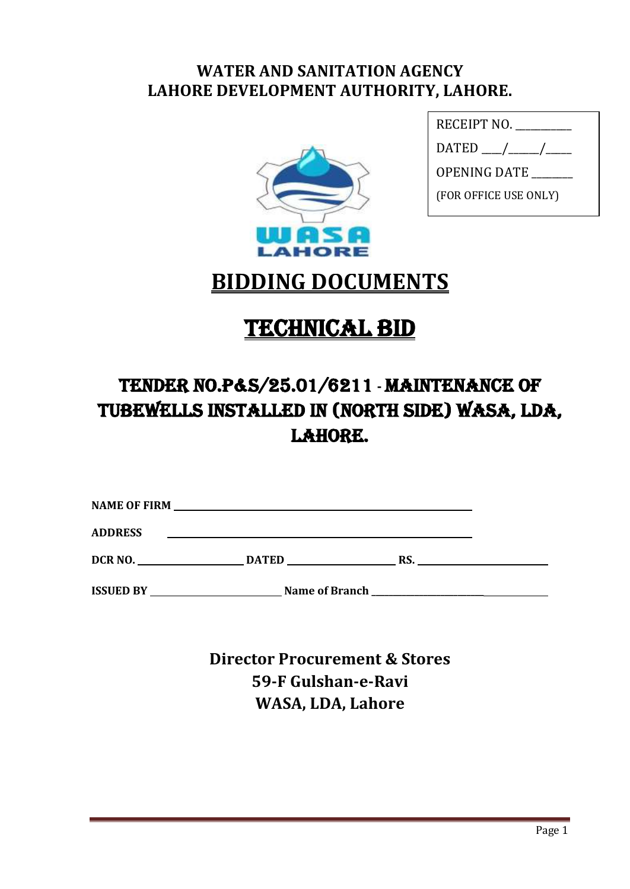# **WATER AND SANITATION AGENCY LAHORE DEVELOPMENT AUTHORITY, LAHORE.**



| RECEIPT NO.           |
|-----------------------|
|                       |
| OPENING DATE          |
| (FOR OFFICE USE ONLY) |
|                       |

# **BIDDING DOCUMENTS**

# **TECHNICAL BID**

# Tender No.P&S/25.01/6211 **-** MAINTENANCE OF TUBEWELLS Installed in (North Side) wasa, lda, LAHORE.

| <b>NAME OF FIRM</b> |              |     |  |
|---------------------|--------------|-----|--|
| <b>ADDRESS</b>      |              |     |  |
| DCR <sub>NO</sub> . | <b>DATED</b> | RS. |  |

**ISSUED BY** Name of Branch **Name of Branch** 

**Director Procurement & Stores 59-F Gulshan-e-Ravi WASA, LDA, Lahore**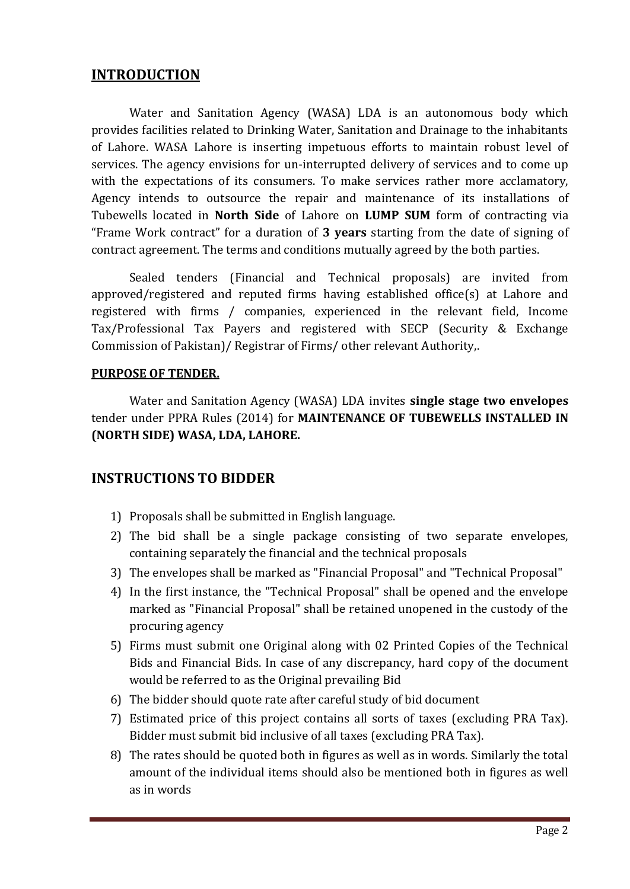### **INTRODUCTION**

Water and Sanitation Agency (WASA) LDA is an autonomous body which provides facilities related to Drinking Water, Sanitation and Drainage to the inhabitants of Lahore. WASA Lahore is inserting impetuous efforts to maintain robust level of services. The agency envisions for un-interrupted delivery of services and to come up with the expectations of its consumers. To make services rather more acclamatory, Agency intends to outsource the repair and maintenance of its installations of Tubewells located in **North Side** of Lahore on **LUMP SUM** form of contracting via "Frame Work contract" for a duration of **3 years** starting from the date of signing of contract agreement. The terms and conditions mutually agreed by the both parties.

Sealed tenders (Financial and Technical proposals) are invited from approved/registered and reputed firms having established office(s) at Lahore and registered with firms / companies, experienced in the relevant field, Income Tax/Professional Tax Payers and registered with SECP (Security & Exchange Commission of Pakistan)/ Registrar of Firms/ other relevant Authority,.

#### **PURPOSE OF TENDER.**

Water and Sanitation Agency (WASA) LDA invites **single stage two envelopes** tender under PPRA Rules (2014) for **MAINTENANCE OF TUBEWELLS INSTALLED IN (NORTH SIDE) WASA, LDA, LAHORE.**

### **INSTRUCTIONS TO BIDDER**

- 1) Proposals shall be submitted in English language.
- 2) The bid shall be a single package consisting of two separate envelopes, containing separately the financial and the technical proposals
- 3) The envelopes shall be marked as "Financial Proposal" and "Technical Proposal"
- 4) In the first instance, the "Technical Proposal" shall be opened and the envelope marked as "Financial Proposal" shall be retained unopened in the custody of the procuring agency
- 5) Firms must submit one Original along with 02 Printed Copies of the Technical Bids and Financial Bids. In case of any discrepancy, hard copy of the document would be referred to as the Original prevailing Bid
- 6) The bidder should quote rate after careful study of bid document
- 7) Estimated price of this project contains all sorts of taxes (excluding PRA Tax). Bidder must submit bid inclusive of all taxes (excluding PRA Tax).
- 8) The rates should be quoted both in figures as well as in words. Similarly the total amount of the individual items should also be mentioned both in figures as well as in words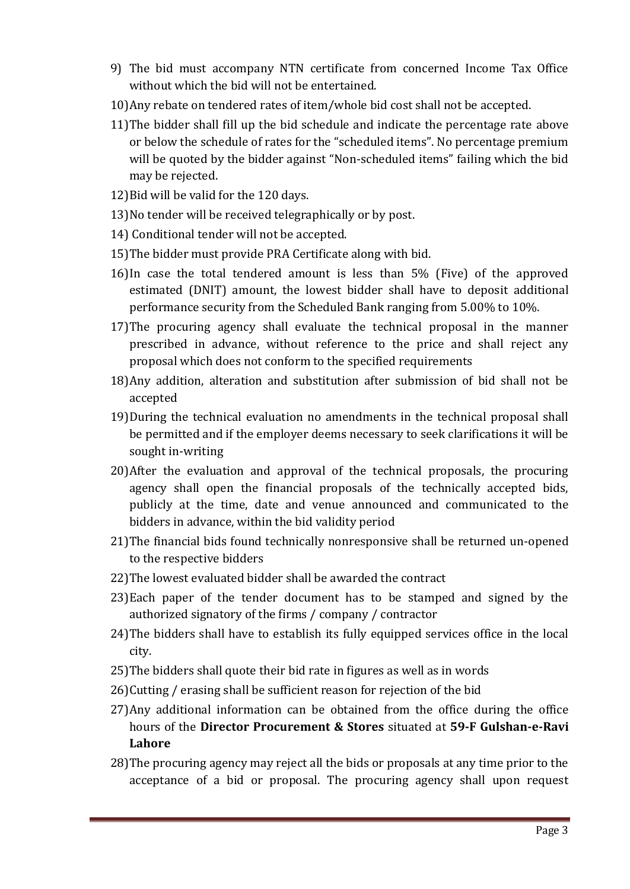- 9) The bid must accompany NTN certificate from concerned Income Tax Office without which the bid will not be entertained.
- 10)Any rebate on tendered rates of item/whole bid cost shall not be accepted.
- 11)The bidder shall fill up the bid schedule and indicate the percentage rate above or below the schedule of rates for the "scheduled items". No percentage premium will be quoted by the bidder against "Non-scheduled items" failing which the bid may be rejected.
- 12)Bid will be valid for the 120 days.
- 13)No tender will be received telegraphically or by post.
- 14) Conditional tender will not be accepted.
- 15)The bidder must provide PRA Certificate along with bid.
- 16)In case the total tendered amount is less than 5% (Five) of the approved estimated (DNIT) amount, the lowest bidder shall have to deposit additional performance security from the Scheduled Bank ranging from 5.00% to 10%.
- 17)The procuring agency shall evaluate the technical proposal in the manner prescribed in advance, without reference to the price and shall reject any proposal which does not conform to the specified requirements
- 18)Any addition, alteration and substitution after submission of bid shall not be accepted
- 19)During the technical evaluation no amendments in the technical proposal shall be permitted and if the employer deems necessary to seek clarifications it will be sought in-writing
- 20)After the evaluation and approval of the technical proposals, the procuring agency shall open the financial proposals of the technically accepted bids, publicly at the time, date and venue announced and communicated to the bidders in advance, within the bid validity period
- 21)The financial bids found technically nonresponsive shall be returned un-opened to the respective bidders
- 22)The lowest evaluated bidder shall be awarded the contract
- 23)Each paper of the tender document has to be stamped and signed by the authorized signatory of the firms / company / contractor
- 24)The bidders shall have to establish its fully equipped services office in the local city.
- 25)The bidders shall quote their bid rate in figures as well as in words
- 26)Cutting / erasing shall be sufficient reason for rejection of the bid
- 27)Any additional information can be obtained from the office during the office hours of the **Director Procurement & Stores** situated at **59-F Gulshan-e-Ravi Lahore**
- 28)The procuring agency may reject all the bids or proposals at any time prior to the acceptance of a bid or proposal. The procuring agency shall upon request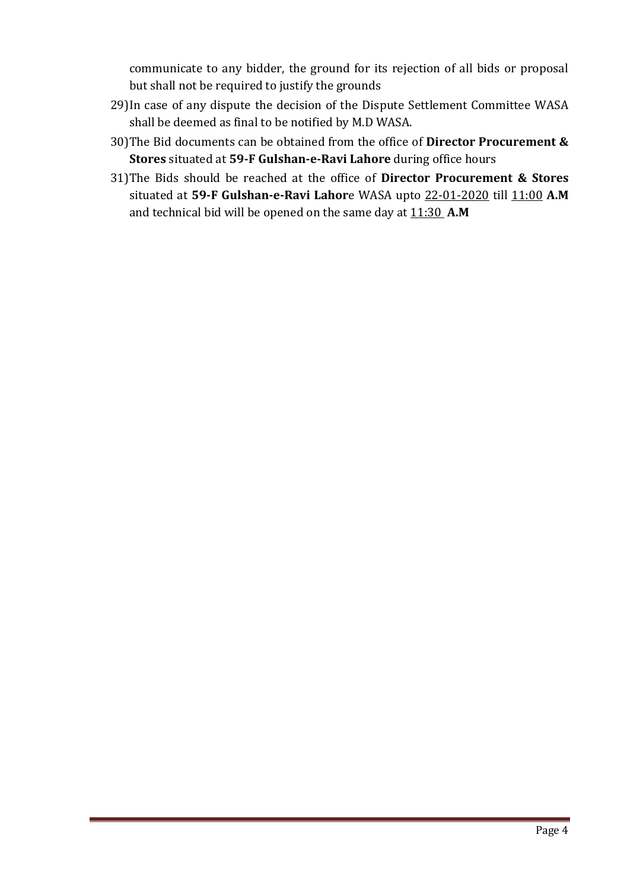communicate to any bidder, the ground for its rejection of all bids or proposal but shall not be required to justify the grounds

- 29)In case of any dispute the decision of the Dispute Settlement Committee WASA shall be deemed as final to be notified by M.D WASA.
- 30)The Bid documents can be obtained from the office of **Director Procurement & Stores** situated at **59-F Gulshan-e-Ravi Lahore** during office hours
- 31)The Bids should be reached at the office of **Director Procurement & Stores** situated at **59-F Gulshan-e-Ravi Lahor**e WASA upto 22-01-2020 till 11:00 **A.M** and technical bid will be opened on the same day at  $11:30$  A.M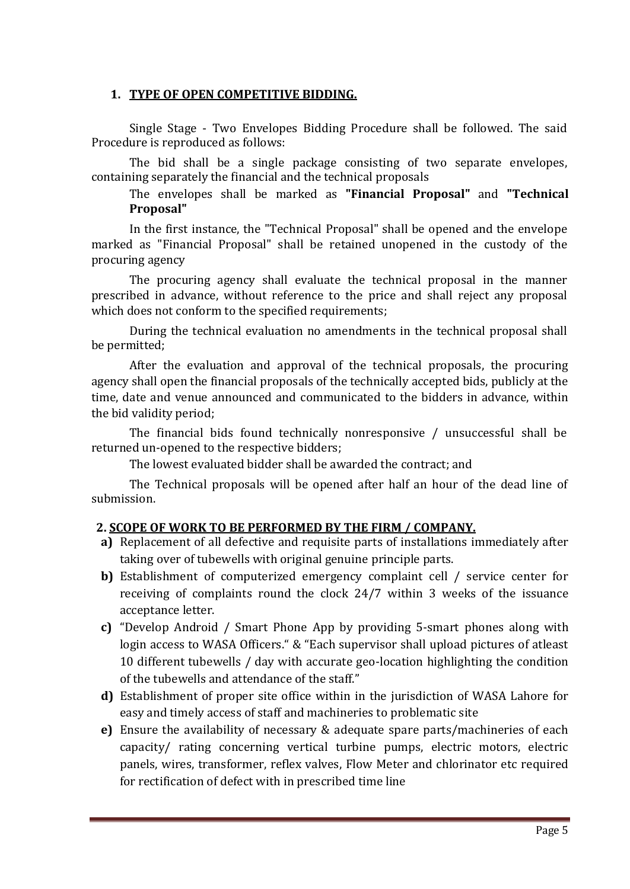#### **1. TYPE OF OPEN COMPETITIVE BIDDING.**

Single Stage - Two Envelopes Bidding Procedure shall be followed. The said Procedure is reproduced as follows:

The bid shall be a single package consisting of two separate envelopes, containing separately the financial and the technical proposals

The envelopes shall be marked as **"Financial Proposal"** and **"Technical Proposal"**

In the first instance, the "Technical Proposal" shall be opened and the envelope marked as "Financial Proposal" shall be retained unopened in the custody of the procuring agency

The procuring agency shall evaluate the technical proposal in the manner prescribed in advance, without reference to the price and shall reject any proposal which does not conform to the specified requirements;

During the technical evaluation no amendments in the technical proposal shall be permitted;

After the evaluation and approval of the technical proposals, the procuring agency shall open the financial proposals of the technically accepted bids, publicly at the time, date and venue announced and communicated to the bidders in advance, within the bid validity period;

The financial bids found technically nonresponsive / unsuccessful shall be returned un-opened to the respective bidders;

The lowest evaluated bidder shall be awarded the contract; and

The Technical proposals will be opened after half an hour of the dead line of submission.

#### **2. SCOPE OF WORK TO BE PERFORMED BY THE FIRM / COMPANY.**

- **a)** Replacement of all defective and requisite parts of installations immediately after taking over of tubewells with original genuine principle parts.
- **b)** Establishment of computerized emergency complaint cell / service center for receiving of complaints round the clock 24/7 within 3 weeks of the issuance acceptance letter.
- **c)** "Develop Android / Smart Phone App by providing 5-smart phones along with login access to WASA Officers." & "Each supervisor shall upload pictures of atleast 10 different tubewells / day with accurate geo-location highlighting the condition of the tubewells and attendance of the staff."
- **d)** Establishment of proper site office within in the jurisdiction of WASA Lahore for easy and timely access of staff and machineries to problematic site
- **e)** Ensure the availability of necessary & adequate spare parts/machineries of each capacity/ rating concerning vertical turbine pumps, electric motors, electric panels, wires, transformer, reflex valves, Flow Meter and chlorinator etc required for rectification of defect with in prescribed time line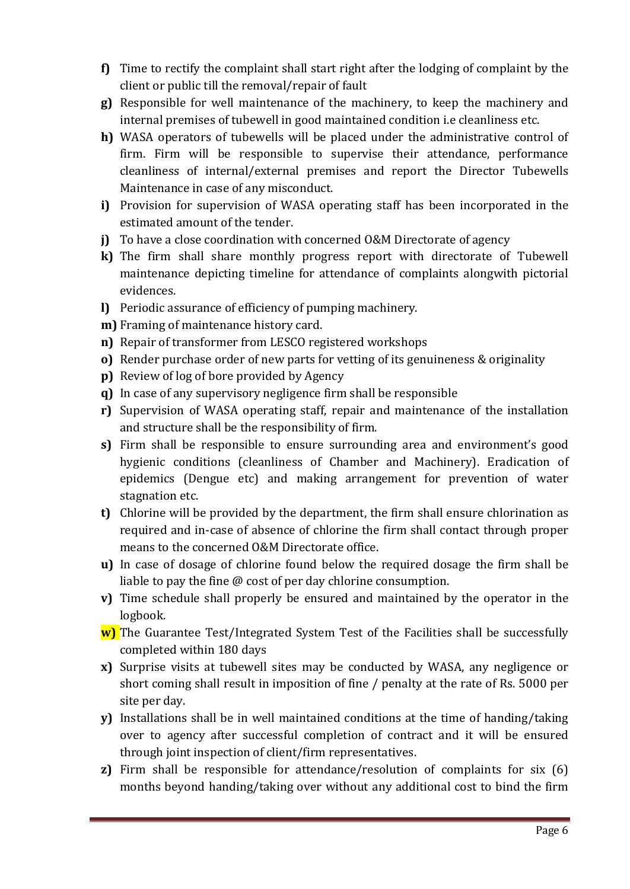- **f)** Time to rectify the complaint shall start right after the lodging of complaint by the client or public till the removal/repair of fault
- **g)** Responsible for well maintenance of the machinery, to keep the machinery and internal premises of tubewell in good maintained condition i.e cleanliness etc.
- **h)** WASA operators of tubewells will be placed under the administrative control of firm. Firm will be responsible to supervise their attendance, performance cleanliness of internal/external premises and report the Director Tubewells Maintenance in case of any misconduct.
- **i)** Provision for supervision of WASA operating staff has been incorporated in the estimated amount of the tender.
- **j)** To have a close coordination with concerned O&M Directorate of agency
- **k)** The firm shall share monthly progress report with directorate of Tubewell maintenance depicting timeline for attendance of complaints alongwith pictorial evidences.
- **l)** Periodic assurance of efficiency of pumping machinery.
- **m)** Framing of maintenance history card.
- **n)** Repair of transformer from LESCO registered workshops
- **o)** Render purchase order of new parts for vetting of its genuineness & originality
- **p)** Review of log of bore provided by Agency
- **q)** In case of any supervisory negligence firm shall be responsible
- **r)** Supervision of WASA operating staff, repair and maintenance of the installation and structure shall be the responsibility of firm.
- **s)** Firm shall be responsible to ensure surrounding area and environment's good hygienic conditions (cleanliness of Chamber and Machinery). Eradication of epidemics (Dengue etc) and making arrangement for prevention of water stagnation etc.
- **t)** Chlorine will be provided by the department, the firm shall ensure chlorination as required and in-case of absence of chlorine the firm shall contact through proper means to the concerned O&M Directorate office.
- **u)** In case of dosage of chlorine found below the required dosage the firm shall be liable to pay the fine @ cost of per day chlorine consumption.
- **v)** Time schedule shall properly be ensured and maintained by the operator in the logbook.
- **w)** The Guarantee Test/Integrated System Test of the Facilities shall be successfully completed within 180 days
- **x)** Surprise visits at tubewell sites may be conducted by WASA, any negligence or short coming shall result in imposition of fine / penalty at the rate of Rs. 5000 per site per day.
- **y)** Installations shall be in well maintained conditions at the time of handing/taking over to agency after successful completion of contract and it will be ensured through joint inspection of client/firm representatives.
- **z)** Firm shall be responsible for attendance/resolution of complaints for six (6) months beyond handing/taking over without any additional cost to bind the firm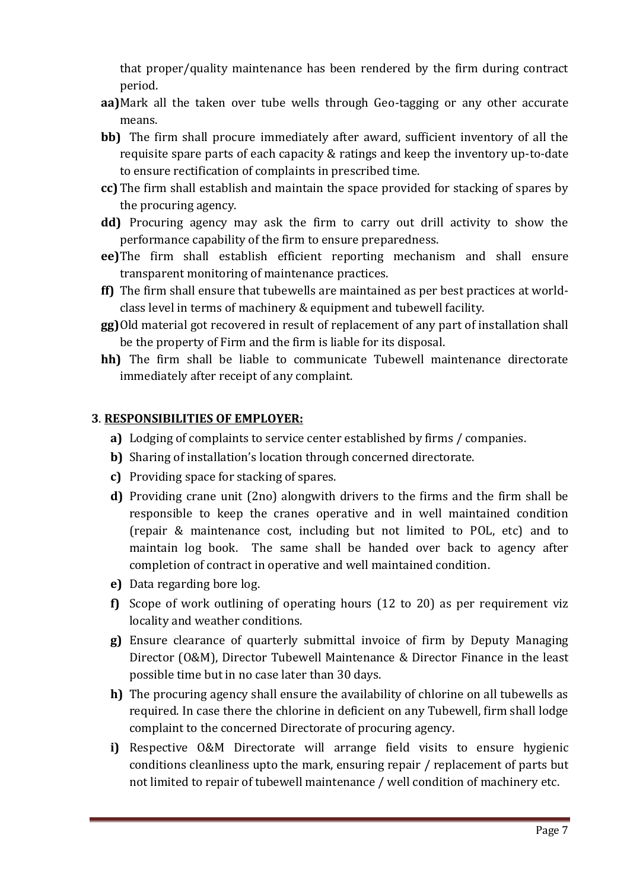that proper/quality maintenance has been rendered by the firm during contract period.

- **aa)**Mark all the taken over tube wells through Geo-tagging or any other accurate means.
- **bb)** The firm shall procure immediately after award, sufficient inventory of all the requisite spare parts of each capacity & ratings and keep the inventory up-to-date to ensure rectification of complaints in prescribed time.
- **cc)** The firm shall establish and maintain the space provided for stacking of spares by the procuring agency.
- **dd)** Procuring agency may ask the firm to carry out drill activity to show the performance capability of the firm to ensure preparedness.
- **ee)**The firm shall establish efficient reporting mechanism and shall ensure transparent monitoring of maintenance practices.
- **ff)** The firm shall ensure that tubewells are maintained as per best practices at worldclass level in terms of machinery & equipment and tubewell facility.
- **gg)**Old material got recovered in result of replacement of any part of installation shall be the property of Firm and the firm is liable for its disposal.
- **hh)** The firm shall be liable to communicate Tubewell maintenance directorate immediately after receipt of any complaint.

#### **3**. **RESPONSIBILITIES OF EMPLOYER:**

- **a)** Lodging of complaints to service center established by firms / companies.
- **b)** Sharing of installation's location through concerned directorate.
- **c)** Providing space for stacking of spares.
- **d)** Providing crane unit (2no) alongwith drivers to the firms and the firm shall be responsible to keep the cranes operative and in well maintained condition (repair & maintenance cost, including but not limited to POL, etc) and to maintain log book. The same shall be handed over back to agency after completion of contract in operative and well maintained condition.
- **e)** Data regarding bore log.
- **f)** Scope of work outlining of operating hours (12 to 20) as per requirement viz locality and weather conditions.
- **g)** Ensure clearance of quarterly submittal invoice of firm by Deputy Managing Director (O&M), Director Tubewell Maintenance & Director Finance in the least possible time but in no case later than 30 days.
- **h)** The procuring agency shall ensure the availability of chlorine on all tubewells as required. In case there the chlorine in deficient on any Tubewell, firm shall lodge complaint to the concerned Directorate of procuring agency.
- **i)** Respective O&M Directorate will arrange field visits to ensure hygienic conditions cleanliness upto the mark, ensuring repair / replacement of parts but not limited to repair of tubewell maintenance / well condition of machinery etc.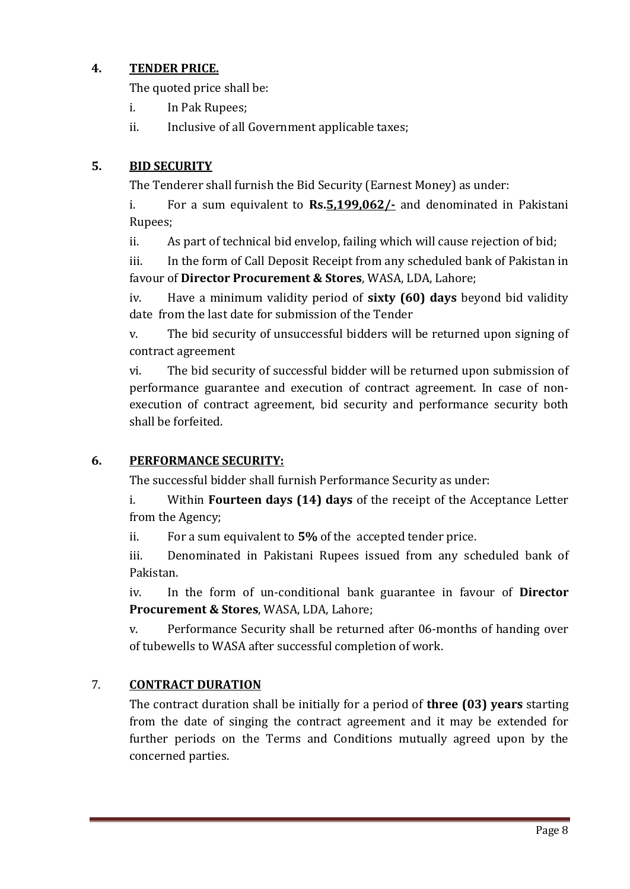### **4. TENDER PRICE.**

The quoted price shall be:

- i. In Pak Rupees;
- ii. Inclusive of all Government applicable taxes;

## **5. BID SECURITY**

The Tenderer shall furnish the Bid Security (Earnest Money) as under:

i. For a sum equivalent to **Rs.5,199,062/-** and denominated in Pakistani Rupees;

ii. As part of technical bid envelop, failing which will cause rejection of bid;

iii. In the form of Call Deposit Receipt from any scheduled bank of Pakistan in favour of **Director Procurement & Stores**, WASA, LDA, Lahore;

iv. Have a minimum validity period of **sixty (60) days** beyond bid validity date from the last date for submission of the Tender

v. The bid security of unsuccessful bidders will be returned upon signing of contract agreement

vi. The bid security of successful bidder will be returned upon submission of performance guarantee and execution of contract agreement. In case of nonexecution of contract agreement, bid security and performance security both shall be forfeited.

### **6. PERFORMANCE SECURITY:**

The successful bidder shall furnish Performance Security as under:

i. Within **Fourteen days (14) days** of the receipt of the Acceptance Letter from the Agency;

ii. For a sum equivalent to **5%** of the accepted tender price.

iii. Denominated in Pakistani Rupees issued from any scheduled bank of Pakistan.

iv. In the form of un-conditional bank guarantee in favour of **Director Procurement & Stores**, WASA, LDA, Lahore;

v. Performance Security shall be returned after 06-months of handing over of tubewells to WASA after successful completion of work.

## 7. **CONTRACT DURATION**

The contract duration shall be initially for a period of **three (03) years** starting from the date of singing the contract agreement and it may be extended for further periods on the Terms and Conditions mutually agreed upon by the concerned parties.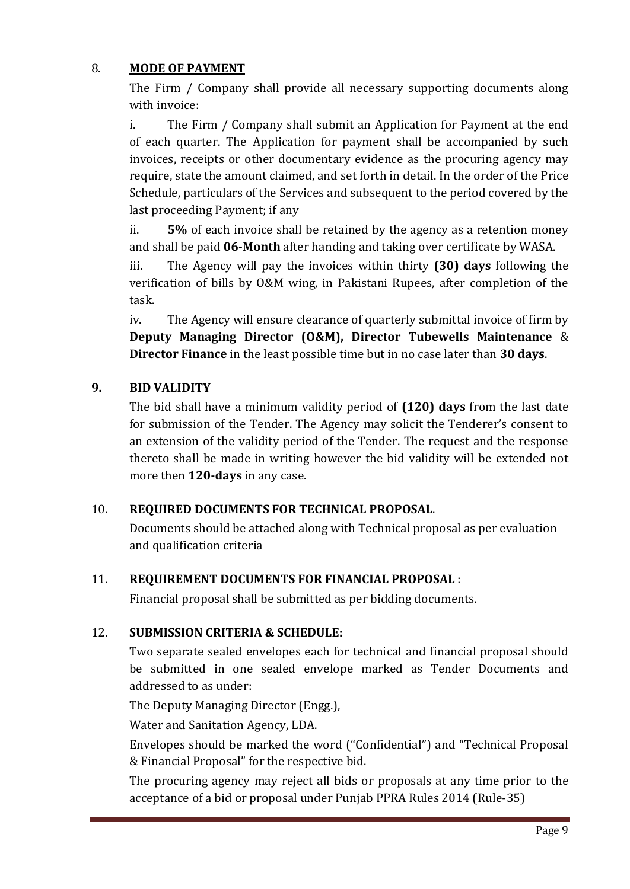### 8. **MODE OF PAYMENT**

The Firm / Company shall provide all necessary supporting documents along with invoice:

i. The Firm / Company shall submit an Application for Payment at the end of each quarter. The Application for payment shall be accompanied by such invoices, receipts or other documentary evidence as the procuring agency may require, state the amount claimed, and set forth in detail. In the order of the Price Schedule, particulars of the Services and subsequent to the period covered by the last proceeding Payment; if any

ii. **5%** of each invoice shall be retained by the agency as a retention money and shall be paid **06-Month** after handing and taking over certificate by WASA.

iii. The Agency will pay the invoices within thirty **(30) days** following the verification of bills by O&M wing, in Pakistani Rupees, after completion of the task.

iv. The Agency will ensure clearance of quarterly submittal invoice of firm by **Deputy Managing Director (O&M), Director Tubewells Maintenance** & **Director Finance** in the least possible time but in no case later than **30 days**.

#### **9. BID VALIDITY**

The bid shall have a minimum validity period of **(120) days** from the last date for submission of the Tender. The Agency may solicit the Tenderer's consent to an extension of the validity period of the Tender. The request and the response thereto shall be made in writing however the bid validity will be extended not more then **120-days** in any case.

#### 10. **REQUIRED DOCUMENTS FOR TECHNICAL PROPOSAL**.

Documents should be attached along with Technical proposal as per evaluation and qualification criteria

#### 11. **REQUIREMENT DOCUMENTS FOR FINANCIAL PROPOSAL** :

Financial proposal shall be submitted as per bidding documents.

#### 12. **SUBMISSION CRITERIA & SCHEDULE:**

Two separate sealed envelopes each for technical and financial proposal should be submitted in one sealed envelope marked as Tender Documents and addressed to as under:

The Deputy Managing Director (Engg.),

Water and Sanitation Agency, LDA.

Envelopes should be marked the word ("Confidential") and "Technical Proposal & Financial Proposal" for the respective bid.

The procuring agency may reject all bids or proposals at any time prior to the acceptance of a bid or proposal under Punjab PPRA Rules 2014 (Rule-35)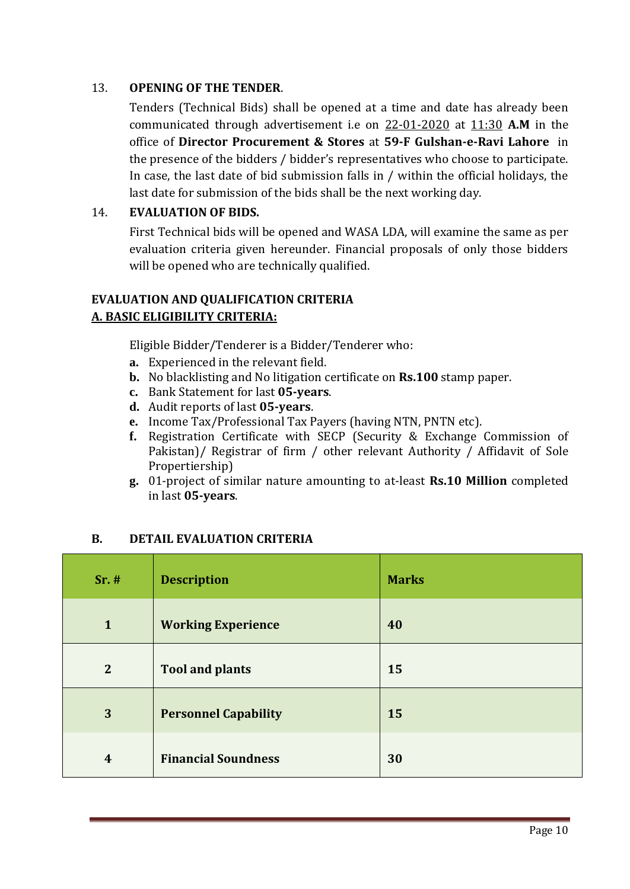#### 13. **OPENING OF THE TENDER**.

Tenders (Technical Bids) shall be opened at a time and date has already been communicated through advertisement i.e on 22-01-2020 at 11:30 **A.M** in the office of **Director Procurement & Stores** at **59-F Gulshan-e-Ravi Lahore** in the presence of the bidders / bidder's representatives who choose to participate. In case, the last date of bid submission falls in / within the official holidays, the last date for submission of the bids shall be the next working day.

#### 14. **EVALUATION OF BIDS.**

First Technical bids will be opened and WASA LDA, will examine the same as per evaluation criteria given hereunder. Financial proposals of only those bidders will be opened who are technically qualified.

### **EVALUATION AND QUALIFICATION CRITERIA A. BASIC ELIGIBILITY CRITERIA:**

Eligible Bidder/Tenderer is a Bidder/Tenderer who:

- **a.** Experienced in the relevant field.
- **b.** No blacklisting and No litigation certificate on **Rs.100** stamp paper.
- **c.** Bank Statement for last **05-years**.
- **d.** Audit reports of last **05-years**.
- **e.** Income Tax/Professional Tax Payers (having NTN, PNTN etc).
- **f.** Registration Certificate with SECP (Security & Exchange Commission of Pakistan)/ Registrar of firm / other relevant Authority / Affidavit of Sole Propertiership)
- **g.** 01-project of similar nature amounting to at-least **Rs.10 Million** completed in last **05-years**.

#### **B. DETAIL EVALUATION CRITERIA**

| $Sr.$ #          | <b>Description</b>          | <b>Marks</b> |
|------------------|-----------------------------|--------------|
| $\mathbf{1}$     | <b>Working Experience</b>   | 40           |
| $\overline{2}$   | <b>Tool and plants</b>      | 15           |
| 3                | <b>Personnel Capability</b> | 15           |
| $\boldsymbol{4}$ | <b>Financial Soundness</b>  | 30           |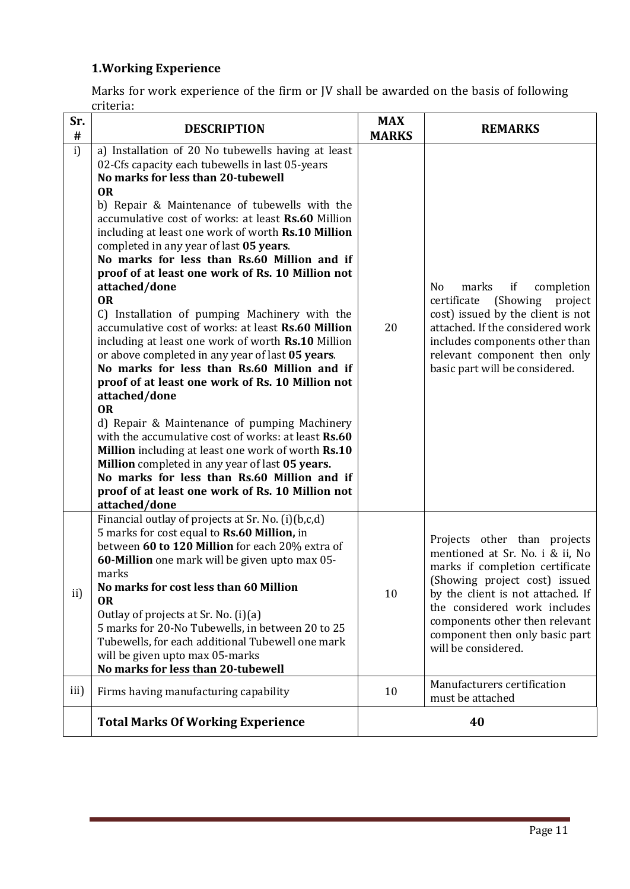# **1.Working Experience**

Marks for work experience of the firm or JV shall be awarded on the basis of following criteria:

| Sr.<br>$\#$ | <b>DESCRIPTION</b>                                                                                                                                                                                                                                                                                                                                                                                                                                                                                                                                                                                                                                                                                                                                                                                                                                                                                                                                                                                                                                                                                                                                                                      | <b>MAX</b><br><b>MARKS</b> | <b>REMARKS</b>                                                                                                                                                                                                                                                                                      |
|-------------|-----------------------------------------------------------------------------------------------------------------------------------------------------------------------------------------------------------------------------------------------------------------------------------------------------------------------------------------------------------------------------------------------------------------------------------------------------------------------------------------------------------------------------------------------------------------------------------------------------------------------------------------------------------------------------------------------------------------------------------------------------------------------------------------------------------------------------------------------------------------------------------------------------------------------------------------------------------------------------------------------------------------------------------------------------------------------------------------------------------------------------------------------------------------------------------------|----------------------------|-----------------------------------------------------------------------------------------------------------------------------------------------------------------------------------------------------------------------------------------------------------------------------------------------------|
| i)          | a) Installation of 20 No tubewells having at least<br>02-Cfs capacity each tubewells in last 05-years<br>No marks for less than 20-tubewell<br><b>OR</b><br>b) Repair & Maintenance of tubewells with the<br>accumulative cost of works: at least Rs.60 Million<br>including at least one work of worth Rs.10 Million<br>completed in any year of last 05 years.<br>No marks for less than Rs.60 Million and if<br>proof of at least one work of Rs. 10 Million not<br>attached/done<br><b>OR</b><br>C) Installation of pumping Machinery with the<br>accumulative cost of works: at least Rs.60 Million<br>including at least one work of worth Rs.10 Million<br>or above completed in any year of last 05 years.<br>No marks for less than Rs.60 Million and if<br>proof of at least one work of Rs. 10 Million not<br>attached/done<br><b>OR</b><br>d) Repair & Maintenance of pumping Machinery<br>with the accumulative cost of works: at least Rs.60<br>Million including at least one work of worth Rs.10<br>Million completed in any year of last 05 years.<br>No marks for less than Rs.60 Million and if<br>proof of at least one work of Rs. 10 Million not<br>attached/done | 20                         | completion<br>N <sub>0</sub><br>marks<br>if<br>certificate<br>(Showing)<br>project<br>cost) issued by the client is not<br>attached. If the considered work<br>includes components other than<br>relevant component then only<br>basic part will be considered.                                     |
| ii)         | Financial outlay of projects at Sr. No. (i)(b,c,d)<br>5 marks for cost equal to Rs.60 Million, in<br>between 60 to 120 Million for each 20% extra of<br>60-Million one mark will be given upto max 05-<br>marks<br>No marks for cost less than 60 Million<br><b>OR</b><br>Outlay of projects at Sr. No. (i)(a)<br>5 marks for 20-No Tubewells, in between 20 to 25<br>Tubewells, for each additional Tubewell one mark<br>will be given upto max 05-marks<br>No marks for less than 20-tubewell                                                                                                                                                                                                                                                                                                                                                                                                                                                                                                                                                                                                                                                                                         | 10                         | Projects other than projects<br>mentioned at Sr. No. i & ii, No<br>marks if completion certificate<br>(Showing project cost) issued<br>by the client is not attached. If<br>the considered work includes<br>components other then relevant<br>component then only basic part<br>will be considered. |
| iii)        | Firms having manufacturing capability                                                                                                                                                                                                                                                                                                                                                                                                                                                                                                                                                                                                                                                                                                                                                                                                                                                                                                                                                                                                                                                                                                                                                   | 10                         | Manufacturers certification<br>must be attached                                                                                                                                                                                                                                                     |
|             | <b>Total Marks Of Working Experience</b>                                                                                                                                                                                                                                                                                                                                                                                                                                                                                                                                                                                                                                                                                                                                                                                                                                                                                                                                                                                                                                                                                                                                                |                            | 40                                                                                                                                                                                                                                                                                                  |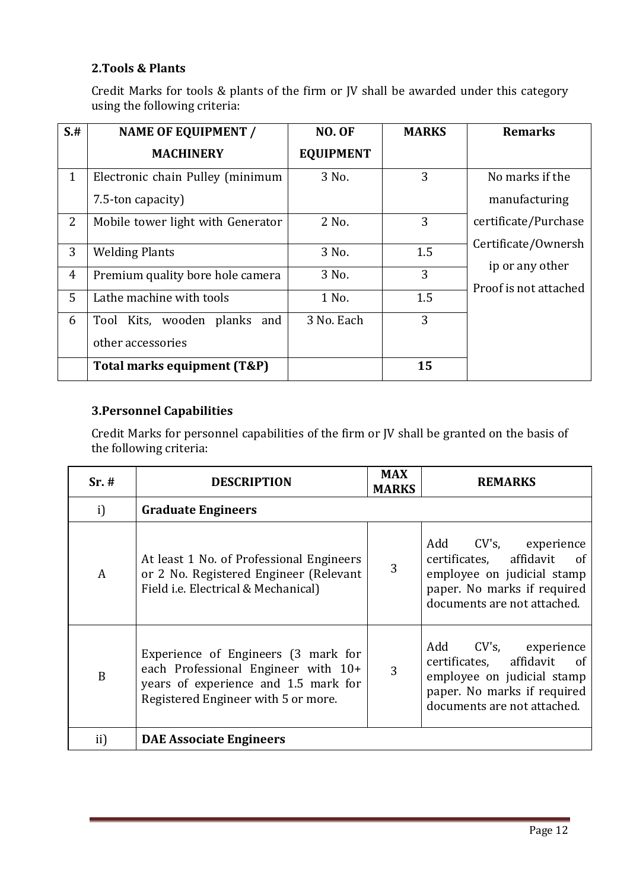#### **2.Tools & Plants**

Credit Marks for tools & plants of the firm or JV shall be awarded under this category using the following criteria:

| $S+$           | <b>NAME OF EQUIPMENT /</b>        | <b>NO. OF</b>    | <b>MARKS</b> | <b>Remarks</b>        |
|----------------|-----------------------------------|------------------|--------------|-----------------------|
|                | <b>MACHINERY</b>                  | <b>EQUIPMENT</b> |              |                       |
| $\mathbf{1}$   | Electronic chain Pulley (minimum  | 3 No.            | 3            | No marks if the       |
|                | 7.5-ton capacity)                 |                  |              | manufacturing         |
| 2              | Mobile tower light with Generator | 2 No.            | 3            | certificate/Purchase  |
|                |                                   |                  |              | Certificate/Ownersh   |
| 3              | <b>Welding Plants</b>             | 3 No.            | 1.5          |                       |
| $\overline{4}$ | Premium quality bore hole camera  | 3 No.            | 3            | ip or any other       |
| 5              | Lathe machine with tools          | 1 No.            | 1.5          | Proof is not attached |
|                |                                   |                  |              |                       |
| 6              | Tool Kits, wooden planks<br>and   | 3 No. Each       | 3            |                       |
|                | other accessories                 |                  |              |                       |
|                | Total marks equipment (T&P)       |                  | 15           |                       |

#### **3.Personnel Capabilities**

Credit Marks for personnel capabilities of the firm or JV shall be granted on the basis of the following criteria:

| Sr.# | <b>DESCRIPTION</b>                                                                                                                                        | <b>MAX</b><br><b>MARKS</b> | <b>REMARKS</b>                                                                                                                                      |  |
|------|-----------------------------------------------------------------------------------------------------------------------------------------------------------|----------------------------|-----------------------------------------------------------------------------------------------------------------------------------------------------|--|
| i)   | <b>Graduate Engineers</b>                                                                                                                                 |                            |                                                                                                                                                     |  |
| A    | At least 1 No. of Professional Engineers<br>or 2 No. Registered Engineer (Relevant<br>Field i.e. Electrical & Mechanical)                                 | 3                          | Add CV's, experience<br>certificates, affidavit<br>- of<br>employee on judicial stamp<br>paper. No marks if required<br>documents are not attached. |  |
| B    | Experience of Engineers (3 mark for<br>each Professional Engineer with 10+<br>years of experience and 1.5 mark for<br>Registered Engineer with 5 or more. | 3                          | Add CV's, experience<br>certificates, affidavit<br>of<br>employee on judicial stamp<br>paper. No marks if required<br>documents are not attached.   |  |
| ii)  | <b>DAE Associate Engineers</b>                                                                                                                            |                            |                                                                                                                                                     |  |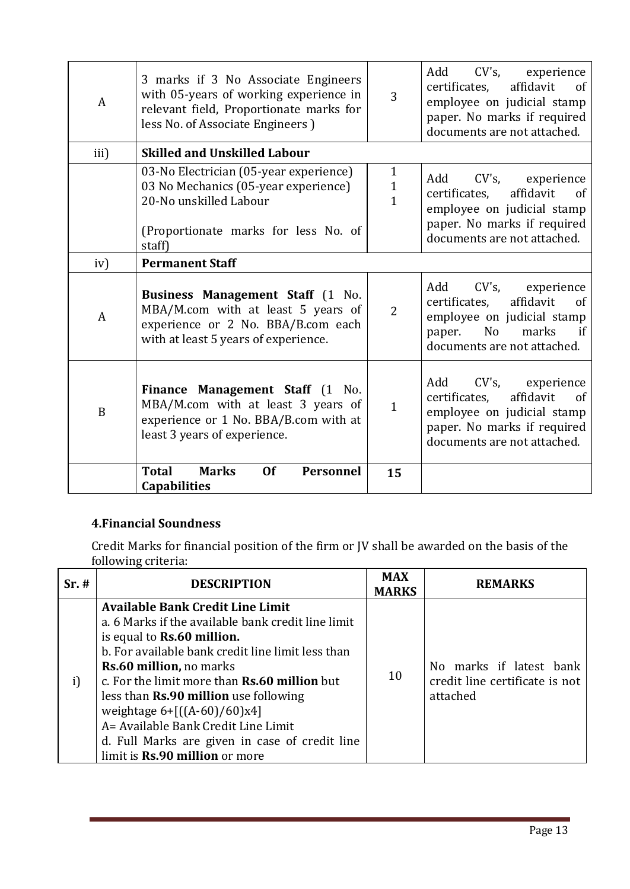| A    | 3 marks if 3 No Associate Engineers<br>with 05-years of working experience in<br>relevant field, Proportionate marks for<br>less No. of Associate Engineers) | 3                             | $CV's$ ,<br>Add<br>experience<br>affidavit<br>certificates,<br>of<br>employee on judicial stamp<br>paper. No marks if required<br>documents are not attached.            |
|------|--------------------------------------------------------------------------------------------------------------------------------------------------------------|-------------------------------|--------------------------------------------------------------------------------------------------------------------------------------------------------------------------|
| iii) | <b>Skilled and Unskilled Labour</b>                                                                                                                          |                               |                                                                                                                                                                          |
|      | 03-No Electrician (05-year experience)<br>03 No Mechanics (05-year experience)<br>20-No unskilled Labour<br>(Proportionate marks for less No. of<br>staff)   | $\mathbf{1}$<br>$\frac{1}{1}$ | Add<br>CV's, experience<br>affidavit<br>certificates.<br>of<br>employee on judicial stamp<br>paper. No marks if required<br>documents are not attached.                  |
| iv)  | <b>Permanent Staff</b>                                                                                                                                       |                               |                                                                                                                                                                          |
| A    | Business Management Staff (1 No.<br>MBA/M.com with at least 5 years of<br>experience or 2 No. BBA/B.com each<br>with at least 5 years of experience.         | $\overline{2}$                | $CV's$ ,<br>Add<br>experience<br>affidavit<br>certificates,<br><sub>of</sub><br>employee on judicial stamp<br>No<br>marks<br>if<br>paper.<br>documents are not attached. |
| B    | Finance Management Staff (1 No.<br>MBA/M.com with at least 3 years of<br>experience or 1 No. BBA/B.com with at<br>least 3 years of experience.               | $\mathbf{1}$                  | $CV's$ ,<br>Add<br>experience<br>affidavit<br>certificates,<br>of<br>employee on judicial stamp<br>paper. No marks if required<br>documents are not attached.            |
|      | <b>Total</b><br><b>Marks</b><br><b>Of</b><br><b>Personnel</b><br><b>Capabilities</b>                                                                         | 15                            |                                                                                                                                                                          |

## **4.Financial Soundness**

Credit Marks for financial position of the firm or JV shall be awarded on the basis of the following criteria:

| Sr.# | <b>DESCRIPTION</b>                                                                                                                                                                                                                                                                                                                                                                                                                                                                          | <b>MAX</b><br><b>MARKS</b> | <b>REMARKS</b>                                                        |
|------|---------------------------------------------------------------------------------------------------------------------------------------------------------------------------------------------------------------------------------------------------------------------------------------------------------------------------------------------------------------------------------------------------------------------------------------------------------------------------------------------|----------------------------|-----------------------------------------------------------------------|
| i)   | <b>Available Bank Credit Line Limit</b><br>a. 6 Marks if the available bank credit line limit<br>is equal to <b>Rs.60 million.</b><br>b. For available bank credit line limit less than<br><b>Rs.60 million, no marks</b><br>c. For the limit more than <b>Rs.60 million</b> but<br>less than <b>Rs.90 million</b> use following<br>weightage $6+[(A-60)/60)x4]$<br>A= Available Bank Credit Line Limit<br>d. Full Marks are given in case of credit line<br>limit is Rs.90 million or more | 10                         | No marks if latest bank<br>credit line certificate is not<br>attached |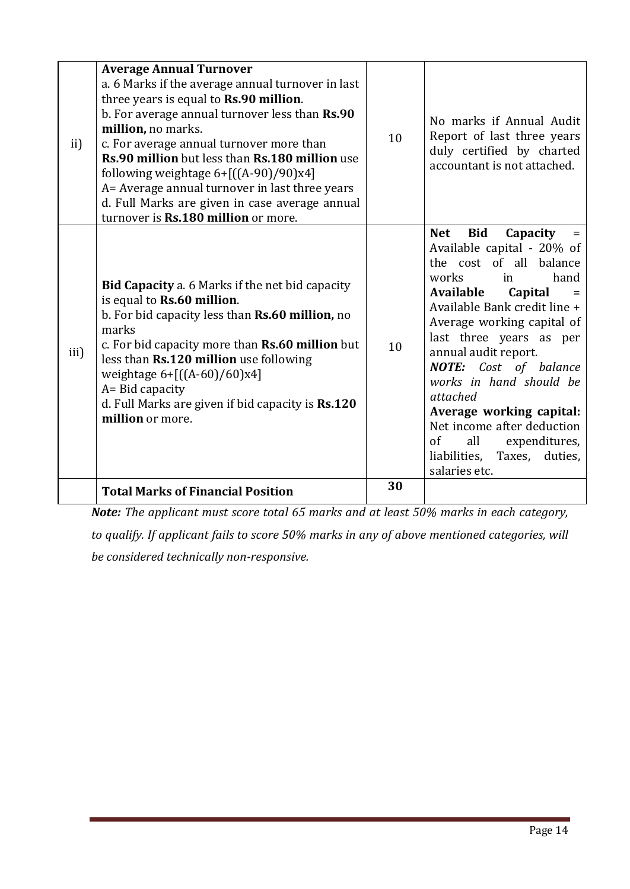| ii)  | <b>Average Annual Turnover</b><br>a. 6 Marks if the average annual turnover in last<br>three years is equal to Rs.90 million.<br>b. For average annual turnover less than Rs.90<br>million, no marks.<br>c. For average annual turnover more than<br>Rs.90 million but less than Rs.180 million use<br>following weightage $6 + [(A-90)/90)x4]$<br>A= Average annual turnover in last three years<br>d. Full Marks are given in case average annual<br>turnover is Rs.180 million or more. | 10 | No marks if Annual Audit<br>Report of last three years<br>duly certified by charted<br>accountant is not attached.                                                                                                                                                                                                                                                                                                                                                              |
|------|--------------------------------------------------------------------------------------------------------------------------------------------------------------------------------------------------------------------------------------------------------------------------------------------------------------------------------------------------------------------------------------------------------------------------------------------------------------------------------------------|----|---------------------------------------------------------------------------------------------------------------------------------------------------------------------------------------------------------------------------------------------------------------------------------------------------------------------------------------------------------------------------------------------------------------------------------------------------------------------------------|
| iii) | Bid Capacity a. 6 Marks if the net bid capacity<br>is equal to Rs.60 million.<br>b. For bid capacity less than Rs.60 million, no<br>marks<br>c. For bid capacity more than Rs.60 million but<br>less than Rs.120 million use following<br>weightage $6 + [(A-60)/60)x4]$<br>A= Bid capacity<br>d. Full Marks are given if bid capacity is Rs.120<br>million or more.                                                                                                                       | 10 | <b>Bid</b><br>Capacity<br><b>Net</b><br>Available capital - 20% of<br>the cost of all balance<br>works<br>hand<br>in<br>Available<br>Capital<br>Available Bank credit line +<br>Average working capital of<br>last three years as per<br>annual audit report.<br><b>NOTE:</b> Cost of balance<br>works in hand should be<br>attached<br>Average working capital:<br>Net income after deduction<br>of<br>all<br>expenditures,<br>liabilities, Taxes,<br>duties,<br>salaries etc. |
|      | <b>Total Marks of Financial Position</b>                                                                                                                                                                                                                                                                                                                                                                                                                                                   | 30 |                                                                                                                                                                                                                                                                                                                                                                                                                                                                                 |

*Note: The applicant must score total 65 marks and at least 50% marks in each category,* 

*to qualify. If applicant fails to score 50% marks in any of above mentioned categories, will be considered technically non-responsive.*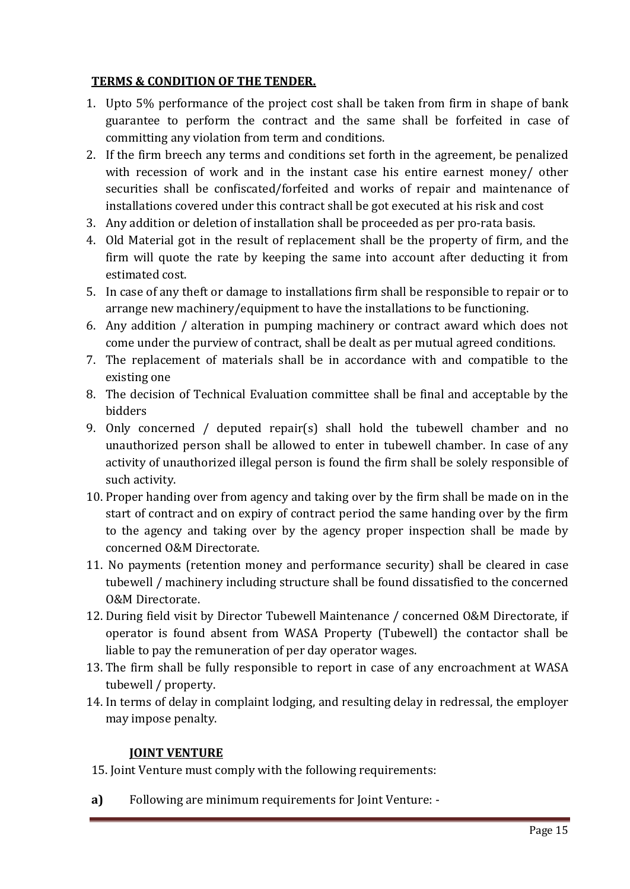#### **TERMS & CONDITION OF THE TENDER.**

- 1. Upto 5% performance of the project cost shall be taken from firm in shape of bank guarantee to perform the contract and the same shall be forfeited in case of committing any violation from term and conditions.
- 2. If the firm breech any terms and conditions set forth in the agreement, be penalized with recession of work and in the instant case his entire earnest money/ other securities shall be confiscated/forfeited and works of repair and maintenance of installations covered under this contract shall be got executed at his risk and cost
- 3. Any addition or deletion of installation shall be proceeded as per pro-rata basis.
- 4. Old Material got in the result of replacement shall be the property of firm, and the firm will quote the rate by keeping the same into account after deducting it from estimated cost.
- 5. In case of any theft or damage to installations firm shall be responsible to repair or to arrange new machinery/equipment to have the installations to be functioning.
- 6. Any addition / alteration in pumping machinery or contract award which does not come under the purview of contract, shall be dealt as per mutual agreed conditions.
- 7. The replacement of materials shall be in accordance with and compatible to the existing one
- 8. The decision of Technical Evaluation committee shall be final and acceptable by the bidders
- 9. Only concerned / deputed repair(s) shall hold the tubewell chamber and no unauthorized person shall be allowed to enter in tubewell chamber. In case of any activity of unauthorized illegal person is found the firm shall be solely responsible of such activity.
- 10. Proper handing over from agency and taking over by the firm shall be made on in the start of contract and on expiry of contract period the same handing over by the firm to the agency and taking over by the agency proper inspection shall be made by concerned O&M Directorate.
- 11. No payments (retention money and performance security) shall be cleared in case tubewell / machinery including structure shall be found dissatisfied to the concerned O&M Directorate.
- 12. During field visit by Director Tubewell Maintenance / concerned O&M Directorate, if operator is found absent from WASA Property (Tubewell) the contactor shall be liable to pay the remuneration of per day operator wages.
- 13. The firm shall be fully responsible to report in case of any encroachment at WASA tubewell / property.
- 14. In terms of delay in complaint lodging, and resulting delay in redressal, the employer may impose penalty.

### **JOINT VENTURE**

- 15. Joint Venture must comply with the following requirements:
- **a)** Following are minimum requirements for Joint Venture: -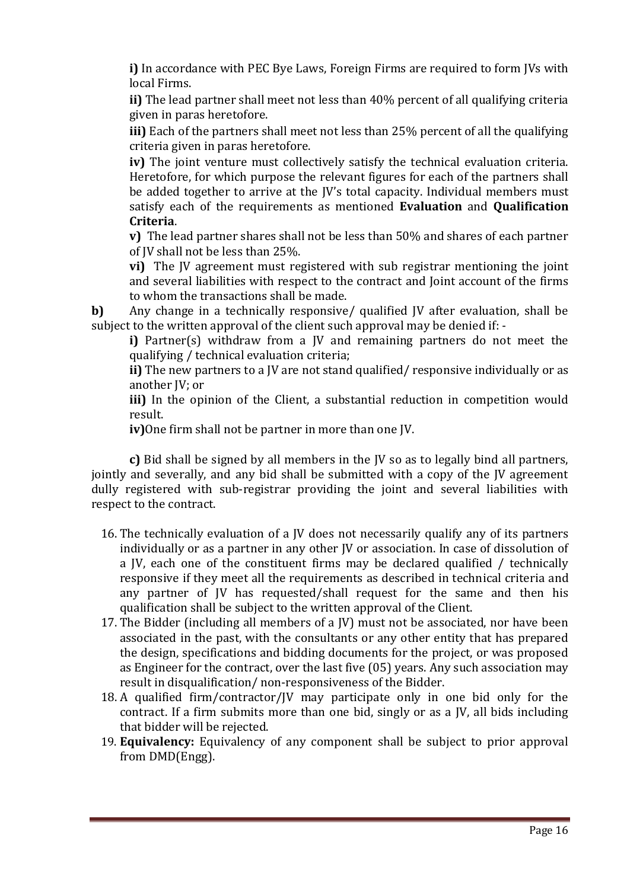**i)** In accordance with PEC Bye Laws, Foreign Firms are required to form JVs with local Firms.

**ii)** The lead partner shall meet not less than 40% percent of all qualifying criteria given in paras heretofore.

**iii)** Each of the partners shall meet not less than 25% percent of all the qualifying criteria given in paras heretofore.

**iv)** The joint venture must collectively satisfy the technical evaluation criteria. Heretofore, for which purpose the relevant figures for each of the partners shall be added together to arrive at the JV's total capacity. Individual members must satisfy each of the requirements as mentioned **Evaluation** and **Qualification Criteria**.

**v)** The lead partner shares shall not be less than 50% and shares of each partner of JV shall not be less than 25%.

**vi)** The JV agreement must registered with sub registrar mentioning the joint and several liabilities with respect to the contract and Joint account of the firms to whom the transactions shall be made.

**b)** Any change in a technically responsive/ qualified IV after evaluation, shall be subject to the written approval of the client such approval may be denied if: -

**i)** Partner(s) withdraw from a JV and remaining partners do not meet the qualifying / technical evaluation criteria;

**ii)** The new partners to a JV are not stand qualified/ responsive individually or as another JV; or

**iii)** In the opinion of the Client, a substantial reduction in competition would result.

**iv)**One firm shall not be partner in more than one JV.

**c)** Bid shall be signed by all members in the JV so as to legally bind all partners, jointly and severally, and any bid shall be submitted with a copy of the JV agreement dully registered with sub-registrar providing the joint and several liabilities with respect to the contract.

- 16. The technically evaluation of a JV does not necessarily qualify any of its partners individually or as a partner in any other JV or association. In case of dissolution of a JV, each one of the constituent firms may be declared qualified / technically responsive if they meet all the requirements as described in technical criteria and any partner of JV has requested/shall request for the same and then his qualification shall be subject to the written approval of the Client.
- 17. The Bidder (including all members of a JV) must not be associated, nor have been associated in the past, with the consultants or any other entity that has prepared the design, specifications and bidding documents for the project, or was proposed as Engineer for the contract, over the last five (05) years. Any such association may result in disqualification/ non-responsiveness of the Bidder.
- 18. A qualified firm/contractor/JV may participate only in one bid only for the contract. If a firm submits more than one bid, singly or as a JV, all bids including that bidder will be rejected.
- 19. **Equivalency:** Equivalency of any component shall be subject to prior approval from DMD(Engg).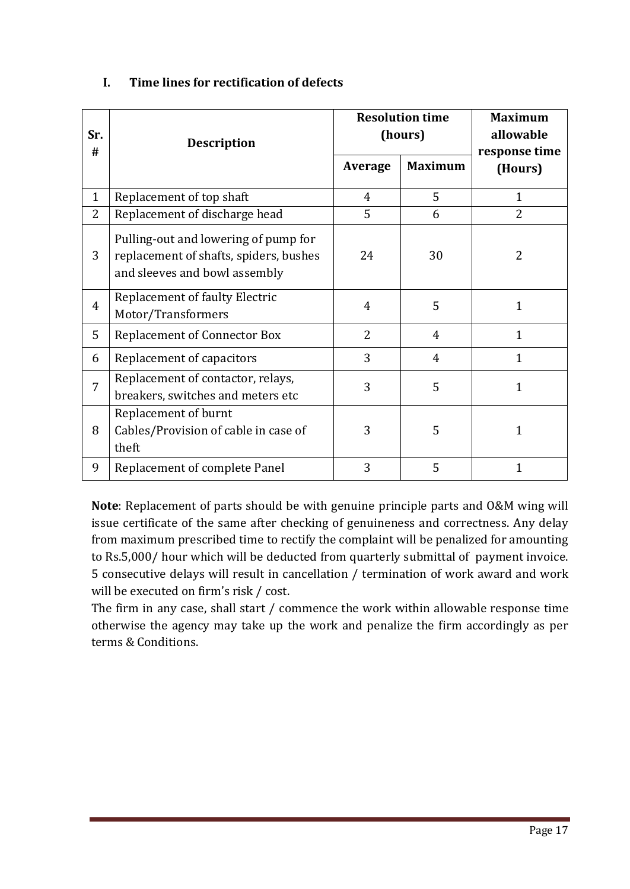| Sr.            | <b>Description</b>                                                                                              |                | <b>Resolution time</b><br>(hours) | <b>Maximum</b><br>allowable |
|----------------|-----------------------------------------------------------------------------------------------------------------|----------------|-----------------------------------|-----------------------------|
| #              |                                                                                                                 | Average        | <b>Maximum</b>                    | response time<br>(Hours)    |
| $\mathbf{1}$   | Replacement of top shaft                                                                                        | $\overline{4}$ | 5                                 | $\mathbf{1}$                |
| $\overline{2}$ | Replacement of discharge head                                                                                   | 5              | 6                                 | 2                           |
| 3              | Pulling-out and lowering of pump for<br>replacement of shafts, spiders, bushes<br>and sleeves and bowl assembly | 24             | 30                                | 2                           |
| $\overline{4}$ | <b>Replacement of faulty Electric</b><br>Motor/Transformers                                                     | $\overline{4}$ | 5                                 | $\mathbf 1$                 |
| 5              | <b>Replacement of Connector Box</b>                                                                             | $\overline{2}$ | $\overline{4}$                    | $\mathbf{1}$                |
| 6              | Replacement of capacitors                                                                                       | 3              | 4                                 | $\mathbf{1}$                |
| 7              | Replacement of contactor, relays,<br>breakers, switches and meters etc                                          | 3              | 5                                 | $\mathbf{1}$                |
| 8              | Replacement of burnt<br>Cables/Provision of cable in case of<br>theft                                           | 3              | 5                                 | 1                           |
| 9              | Replacement of complete Panel                                                                                   | 3              | 5                                 | 1                           |

#### **I. Time lines for rectification of defects**

**Note**: Replacement of parts should be with genuine principle parts and O&M wing will issue certificate of the same after checking of genuineness and correctness. Any delay from maximum prescribed time to rectify the complaint will be penalized for amounting to Rs.5,000/ hour which will be deducted from quarterly submittal of payment invoice. 5 consecutive delays will result in cancellation / termination of work award and work will be executed on firm's risk / cost.

The firm in any case, shall start / commence the work within allowable response time otherwise the agency may take up the work and penalize the firm accordingly as per terms & Conditions.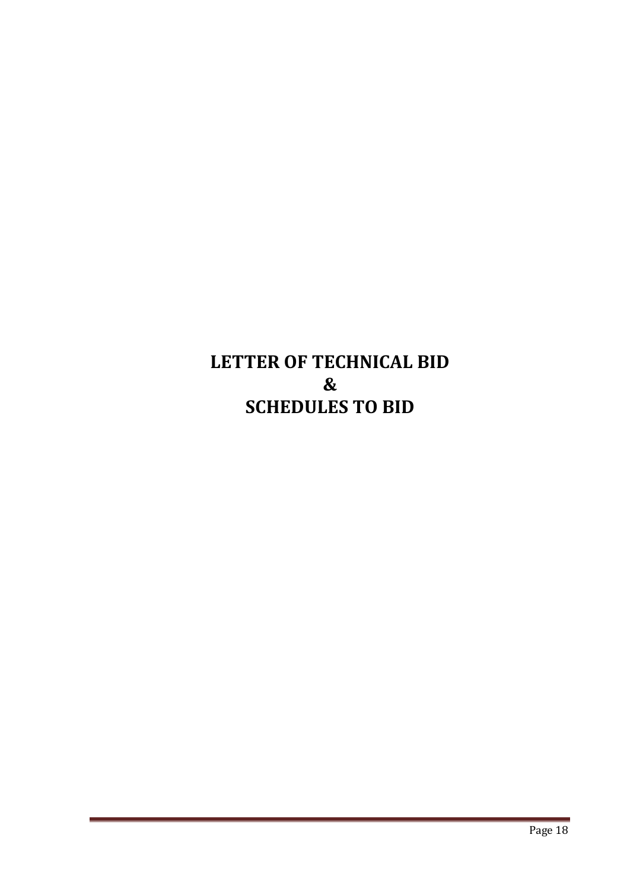# **LETTER OF TECHNICAL BID & SCHEDULES TO BID**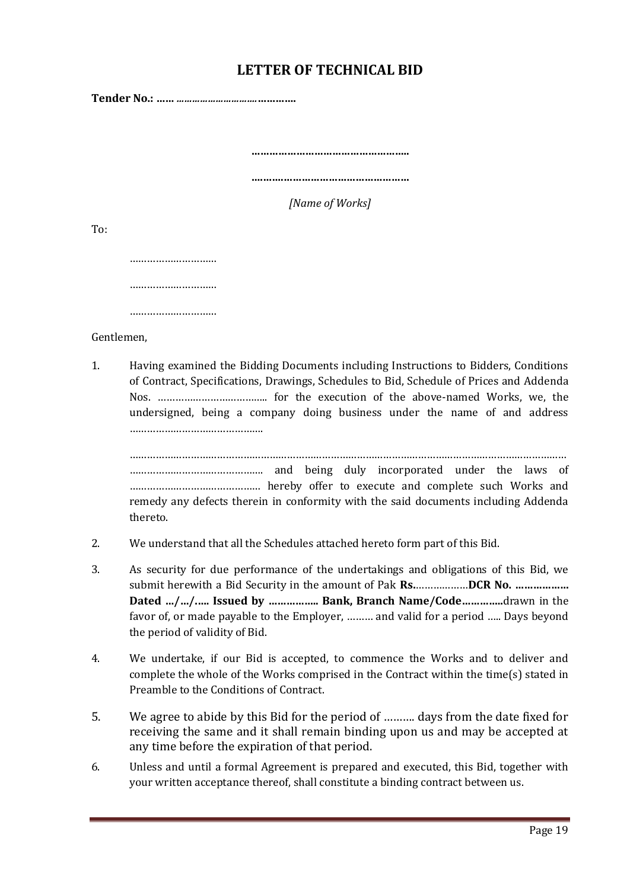## **LETTER OF TECHNICAL BID**

**Tender No.: ……** *………………………….***………….**

**……………………………………………..**

**….…….……………………………………**

*[Name of Works]*

To:

………………………… ………………………… ……………………………

Gentlemen,

1. Having examined the Bidding Documents including Instructions to Bidders, Conditions of Contract, Specifications, Drawings, Schedules to Bid, Schedule of Prices and Addenda Nos. ……………………………….. for the execution of the above-named Works, we, the undersigned, being a company doing business under the name of and address ……………………………………….

…………………………………………………………………………………………………………………………………… ………………………………………. and being duly incorporated under the laws of ……………………………………… hereby offer to execute and complete such Works and remedy any defects therein in conformity with the said documents including Addenda thereto.

- 2. We understand that all the Schedules attached hereto form part of this Bid.
- 3. As security for due performance of the undertakings and obligations of this Bid, we submit herewith a Bid Security in the amount of Pak **Rs.**………………**DCR No. ……………… Dated …/…/.…. Issued by …………….. Bank, Branch Name/Code…………..**drawn in the favor of, or made payable to the Employer, ……… and valid for a period ….. Days beyond the period of validity of Bid.
- 4. We undertake, if our Bid is accepted, to commence the Works and to deliver and complete the whole of the Works comprised in the Contract within the time(s) stated in Preamble to the Conditions of Contract.
- 5. We agree to abide by this Bid for the period of ………. days from the date fixed for receiving the same and it shall remain binding upon us and may be accepted at any time before the expiration of that period.
- 6. Unless and until a formal Agreement is prepared and executed, this Bid, together with your written acceptance thereof, shall constitute a binding contract between us.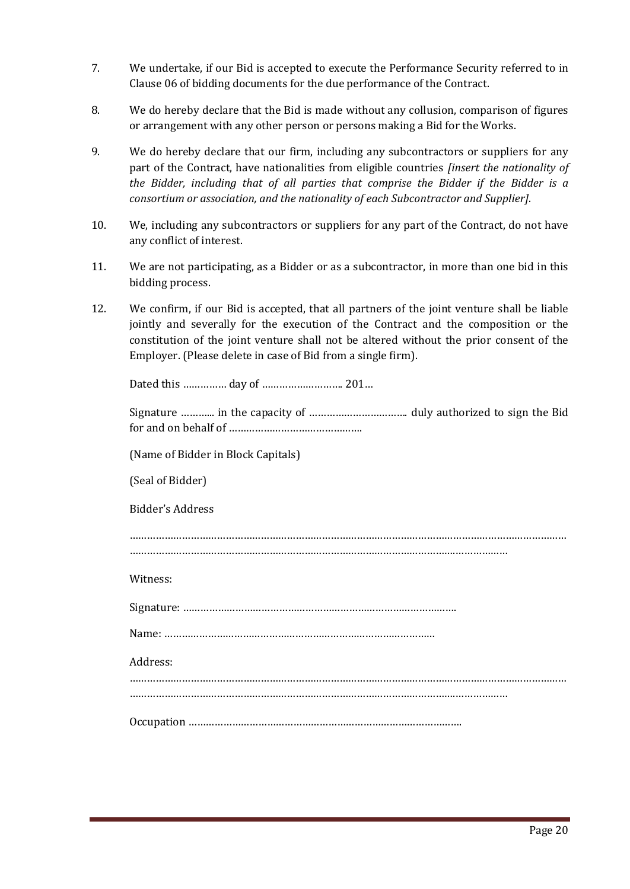- 7. We undertake, if our Bid is accepted to execute the Performance Security referred to in Clause 06 of bidding documents for the due performance of the Contract.
- 8. We do hereby declare that the Bid is made without any collusion, comparison of figures or arrangement with any other person or persons making a Bid for the Works.
- 9. We do hereby declare that our firm, including any subcontractors or suppliers for any part of the Contract, have nationalities from eligible countries *[insert the nationality of the Bidder, including that of all parties that comprise the Bidder if the Bidder is a consortium or association, and the nationality of each Subcontractor and Supplier]*.
- 10. We, including any subcontractors or suppliers for any part of the Contract, do not have any conflict of interest.
- 11. We are not participating, as a Bidder or as a subcontractor, in more than one bid in this bidding process.
- 12. We confirm, if our Bid is accepted, that all partners of the joint venture shall be liable jointly and severally for the execution of the Contract and the composition or the constitution of the joint venture shall not be altered without the prior consent of the Employer. (Please delete in case of Bid from a single firm).

Dated this …………… day of ………………………. 201…

(Name of Bidder in Block Capitals)

(Seal of Bidder)

Bidder's Address

…………………………………………………………………………………………………………………………………… ………………………………………………………………………………………………….………………

Witness:

Signature: ………………………………………………………………………………….

Name: …………………………………………………………………………………

Address:

……………………………………………………………………………………………………………………………………

………………………………………………………………………………………………….………………

Occupation ………………………………………………………………………………….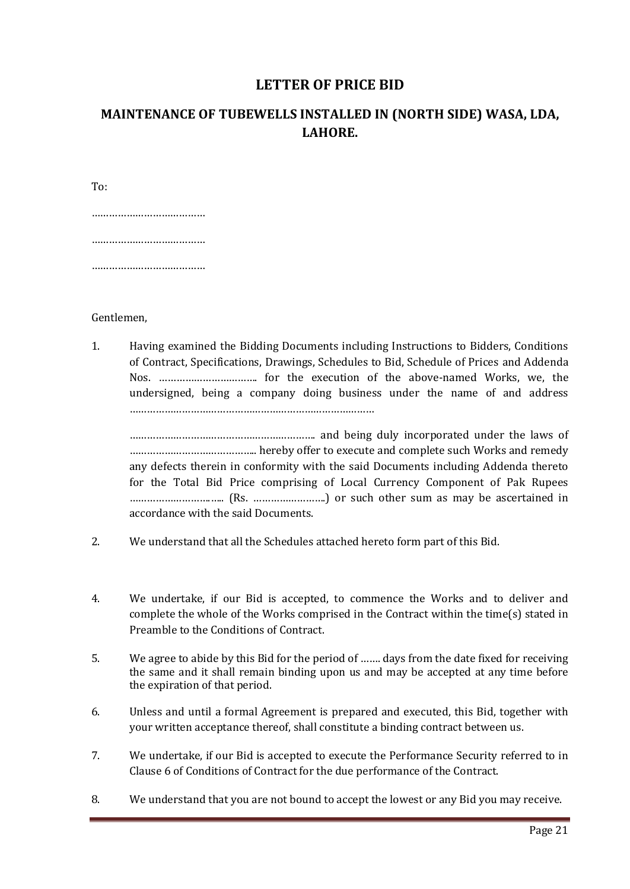#### **LETTER OF PRICE BID**

## **MAINTENANCE OF TUBEWELLS INSTALLED IN (NORTH SIDE) WASA, LDA, LAHORE.**

To: …………………………………… ………………………………… ……………………………………

Gentlemen,

1. Having examined the Bidding Documents including Instructions to Bidders, Conditions of Contract, Specifications, Drawings, Schedules to Bid, Schedule of Prices and Addenda Nos. ……………………………. for the execution of the above-named Works, we, the undersigned, being a company doing business under the name of and address …………………………………………………………………………

………………………………………………………. and being duly incorporated under the laws of …………………………………….. hereby offer to execute and complete such Works and remedy any defects therein in conformity with the said Documents including Addenda thereto for the Total Bid Price comprising of Local Currency Component of Pak Rupees ……………………….….. (Rs. …………………….) or such other sum as may be ascertained in accordance with the said Documents.

- 2. We understand that all the Schedules attached hereto form part of this Bid.
- 4. We undertake, if our Bid is accepted, to commence the Works and to deliver and complete the whole of the Works comprised in the Contract within the time(s) stated in Preamble to the Conditions of Contract.
- 5. We agree to abide by this Bid for the period of ……. days from the date fixed for receiving the same and it shall remain binding upon us and may be accepted at any time before the expiration of that period.
- 6. Unless and until a formal Agreement is prepared and executed, this Bid, together with your written acceptance thereof, shall constitute a binding contract between us.
- 7. We undertake, if our Bid is accepted to execute the Performance Security referred to in Clause 6 of Conditions of Contract for the due performance of the Contract.
- 8. We understand that you are not bound to accept the lowest or any Bid you may receive.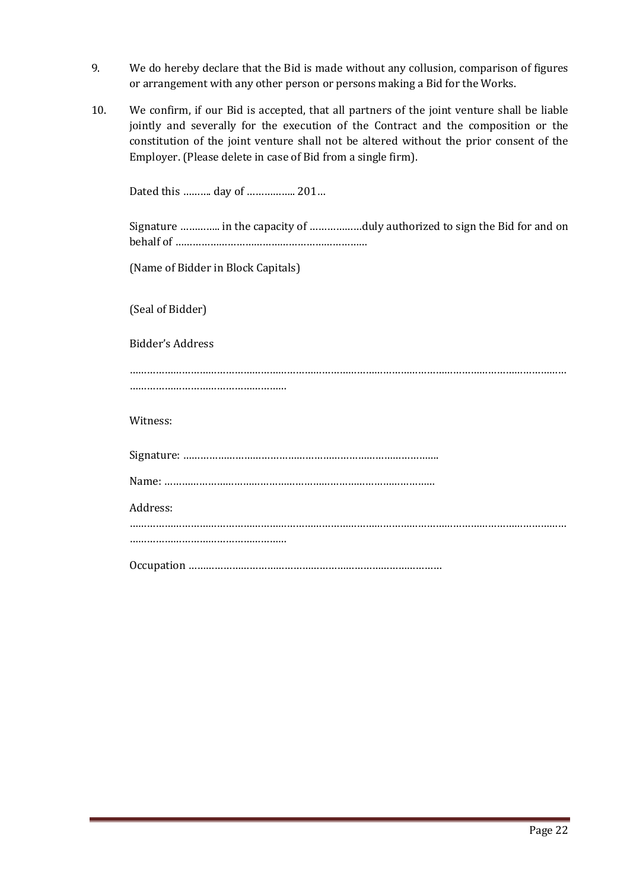- 9. We do hereby declare that the Bid is made without any collusion, comparison of figures or arrangement with any other person or persons making a Bid for the Works.
- 10. We confirm, if our Bid is accepted, that all partners of the joint venture shall be liable jointly and severally for the execution of the Contract and the composition or the constitution of the joint venture shall not be altered without the prior consent of the Employer. (Please delete in case of Bid from a single firm).

| Dated this  day of  201                                                  |
|--------------------------------------------------------------------------|
| Signature  in the capacity of duly authorized to sign the Bid for and on |
| (Name of Bidder in Block Capitals)                                       |
| (Seal of Bidder)                                                         |
| Bidder's Address                                                         |
|                                                                          |
| Witness:                                                                 |
|                                                                          |
|                                                                          |
| Address:                                                                 |
|                                                                          |
|                                                                          |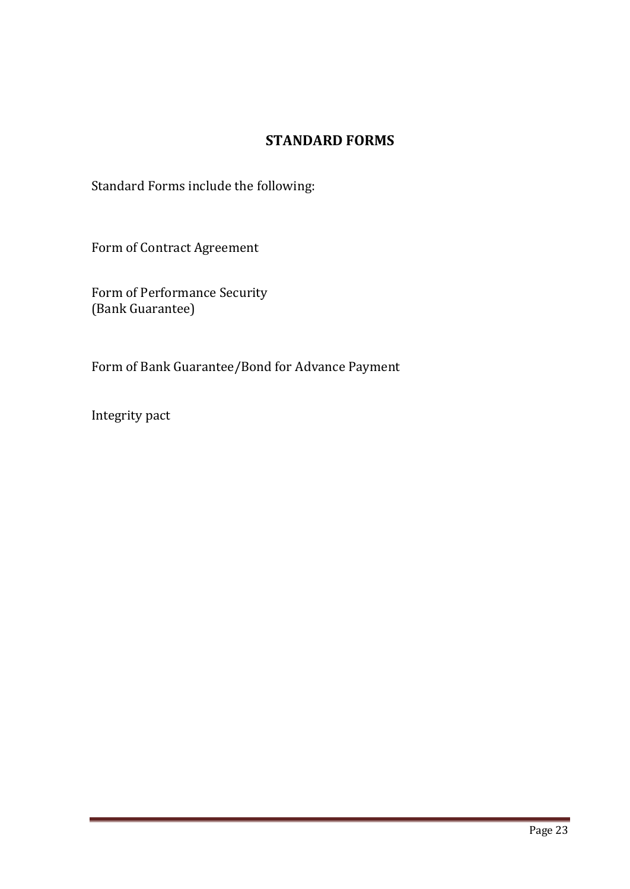# **STANDARD FORMS**

Standard Forms include the following:

Form of Contract Agreement

Form of Performance Security (Bank Guarantee)

Form of Bank Guarantee/Bond for Advance Payment

Integrity pact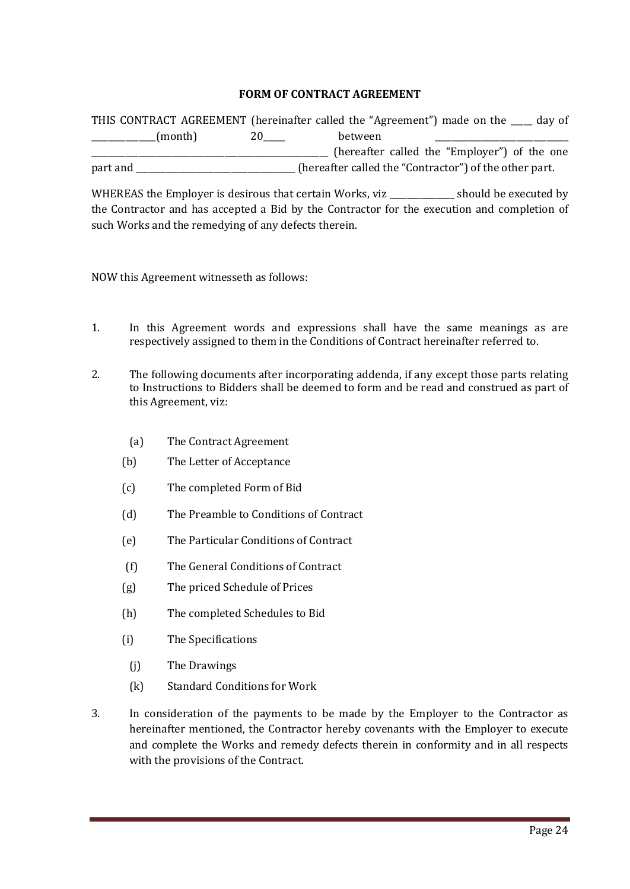#### **FORM OF CONTRACT AGREEMENT**

|          | THIS CONTRACT AGREEMENT (hereinafter called the "Agreement") made on the ___ day of |         |                                                        |  |
|----------|-------------------------------------------------------------------------------------|---------|--------------------------------------------------------|--|
|          | (month)                                                                             | between |                                                        |  |
|          |                                                                                     |         | (hereafter called the "Employer") of the one           |  |
| part and |                                                                                     |         | (hereafter called the "Contractor") of the other part. |  |

WHEREAS the Employer is desirous that certain Works, viz \_\_\_\_\_\_\_\_\_\_\_\_\_ should be executed by the Contractor and has accepted a Bid by the Contractor for the execution and completion of such Works and the remedying of any defects therein.

NOW this Agreement witnesseth as follows:

- 1. In this Agreement words and expressions shall have the same meanings as are respectively assigned to them in the Conditions of Contract hereinafter referred to.
- 2. The following documents after incorporating addenda, if any except those parts relating to Instructions to Bidders shall be deemed to form and be read and construed as part of this Agreement, viz:
	- (a) The Contract Agreement
	- (b) The Letter of Acceptance
	- (c) The completed Form of Bid
	- (d) The Preamble to Conditions of Contract
	- (e) The Particular Conditions of Contract
	- (f) The General Conditions of Contract
	- (g) The priced Schedule of Prices
	- (h) The completed Schedules to Bid
	- (i) The Specifications
		- (j) The Drawings
		- (k) Standard Conditions for Work
- 3. In consideration of the payments to be made by the Employer to the Contractor as hereinafter mentioned, the Contractor hereby covenants with the Employer to execute and complete the Works and remedy defects therein in conformity and in all respects with the provisions of the Contract.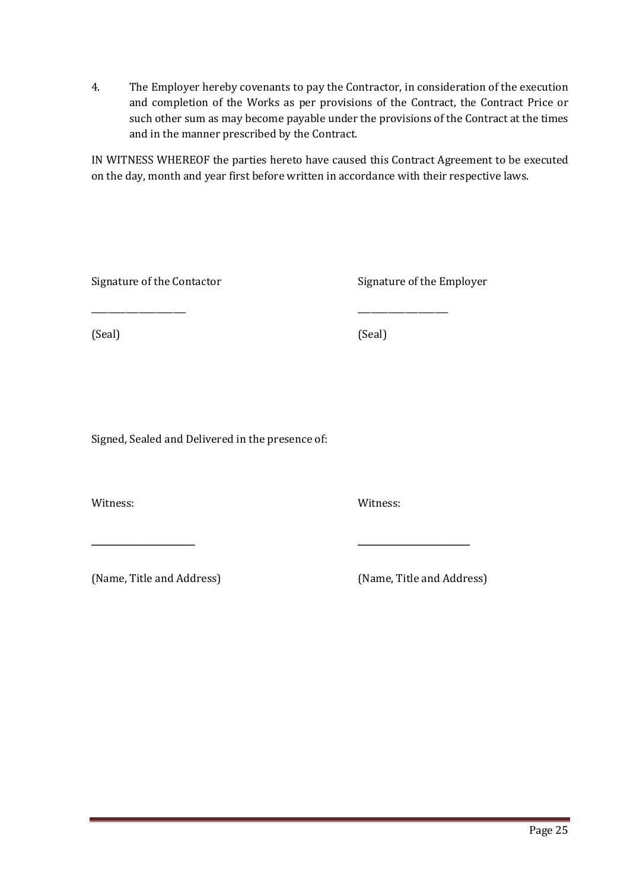4. The Employer hereby covenants to pay the Contractor, in consideration of the execution and completion of the Works as per provisions of the Contract, the Contract Price or such other sum as may become payable under the provisions of the Contract at the times and in the manner prescribed by the Contract.

IN WITNESS WHEREOF the parties hereto have caused this Contract Agreement to be executed on the day, month and year first before written in accordance with their respective laws.

Signature of the Contactor Signature of the Employer

(Seal) (Seal)

Signed, Sealed and Delivered in the presence of:

\_\_\_\_\_\_\_\_\_\_\_\_\_\_\_\_\_\_\_\_\_\_ \_\_\_\_\_\_\_\_\_\_\_\_\_\_\_\_\_\_\_\_\_

**\_\_\_\_\_\_\_\_\_\_\_\_\_\_\_\_\_\_\_\_\_\_\_\_ \_\_\_\_\_\_\_\_\_\_\_\_\_\_\_\_\_\_\_\_\_\_\_\_\_\_**

Witness: Witness:

(Name, Title and Address) (Name, Title and Address)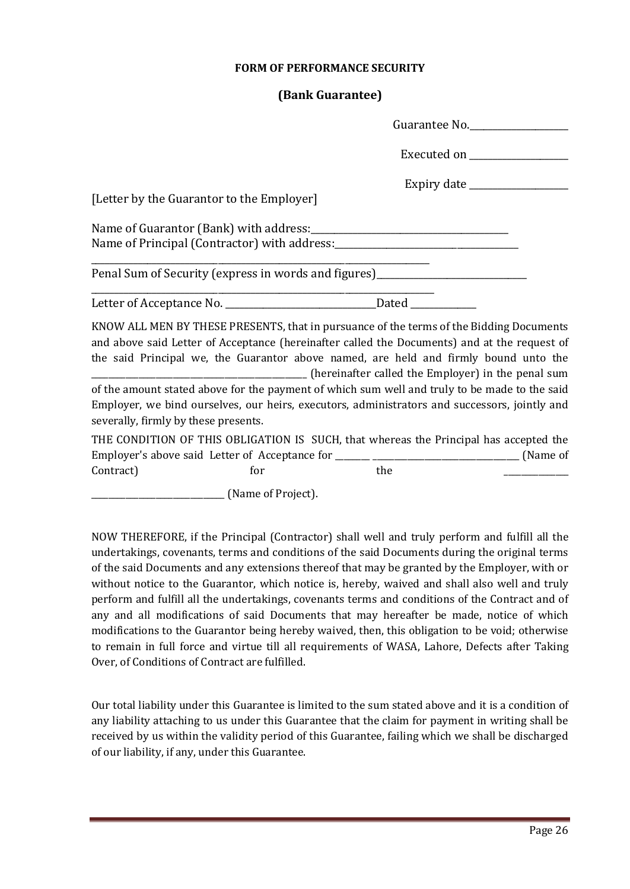#### **FORM OF PERFORMANCE SECURITY**

#### **(Bank Guarantee)**

| Guarantee No.                                                                                                                                                                                                                                                                   |
|---------------------------------------------------------------------------------------------------------------------------------------------------------------------------------------------------------------------------------------------------------------------------------|
| Executed on _________________                                                                                                                                                                                                                                                   |
| [Letter by the Guarantor to the Employer]                                                                                                                                                                                                                                       |
|                                                                                                                                                                                                                                                                                 |
|                                                                                                                                                                                                                                                                                 |
|                                                                                                                                                                                                                                                                                 |
| Penal Sum of Security (express in words and figures)____________________________                                                                                                                                                                                                |
|                                                                                                                                                                                                                                                                                 |
| KNOW ALL MEN BY THESE PRESENTS, that in pursuance of the terms of the Bidding Documents<br>and above said Letter of Acceptance (hereinafter called the Documents) and at the request of<br>the said Principal we, the Guarantor above named, are held and firmly bound unto the |
| of the amount stated above for the payment of which sum well and truly to be made to the said<br>Employer, we bind ourselves, our heirs, executors, administrators and successors, jointly and<br>severally, firmly by these presents.                                          |
| THE CONDITION OF THIS OBLIGATION IS SUCH, that whereas the Principal has accepted the                                                                                                                                                                                           |

 $\text{Contract)}$  for the  $\text{ }}$ 

\_\_\_\_\_\_\_\_\_\_\_\_\_\_\_\_\_\_\_\_\_\_\_\_\_\_\_\_\_\_\_ (Name of Project).

NOW THEREFORE, if the Principal (Contractor) shall well and truly perform and fulfill all the undertakings, covenants, terms and conditions of the said Documents during the original terms of the said Documents and any extensions thereof that may be granted by the Employer, with or without notice to the Guarantor, which notice is, hereby, waived and shall also well and truly perform and fulfill all the undertakings, covenants terms and conditions of the Contract and of any and all modifications of said Documents that may hereafter be made, notice of which modifications to the Guarantor being hereby waived, then, this obligation to be void; otherwise to remain in full force and virtue till all requirements of WASA, Lahore, Defects after Taking Over, of Conditions of Contract are fulfilled.

Our total liability under this Guarantee is limited to the sum stated above and it is a condition of any liability attaching to us under this Guarantee that the claim for payment in writing shall be received by us within the validity period of this Guarantee, failing which we shall be discharged of our liability, if any, under this Guarantee.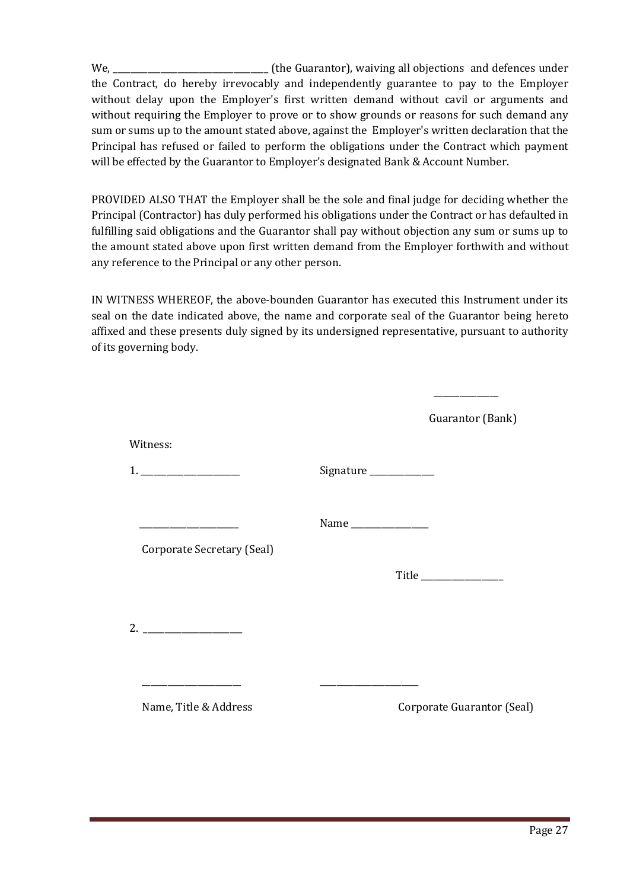We, \_\_\_\_\_\_\_\_\_\_\_\_\_\_\_\_\_\_\_\_\_\_\_\_\_\_\_\_\_\_\_\_\_\_\_\_ (the Guarantor), waiving all objections and defences under the Contract, do hereby irrevocably and independently guarantee to pay to the Employer without delay upon the Employer's first written demand without cavil or arguments and without requiring the Employer to prove or to show grounds or reasons for such demand any sum or sums up to the amount stated above, against the Employer's written declaration that the Principal has refused or failed to perform the obligations under the Contract which payment will be effected by the Guarantor to Employer's designated Bank & Account Number.

PROVIDED ALSO THAT the Employer shall be the sole and final judge for deciding whether the Principal (Contractor) has duly performed his obligations under the Contract or has defaulted in fulfilling said obligations and the Guarantor shall pay without objection any sum or sums up to the amount stated above upon first written demand from the Employer forthwith and without any reference to the Principal or any other person.

IN WITNESS WHEREOF, the above-bounden Guarantor has executed this Instrument under its seal on the date indicated above, the name and corporate seal of the Guarantor being hereto affixed and these presents duly signed by its undersigned representative, pursuant to authority of its governing body.

|                                                  |                     | Guarantor (Bank)           |
|--------------------------------------------------|---------------------|----------------------------|
| Witness:                                         |                     |                            |
|                                                  | Signature           |                            |
| the control of the control of the control of the | Name ______________ |                            |
| Corporate Secretary (Seal)                       |                     |                            |
|                                                  |                     |                            |
|                                                  |                     |                            |
|                                                  |                     |                            |
| Name, Title & Address                            |                     | Corporate Guarantor (Seal) |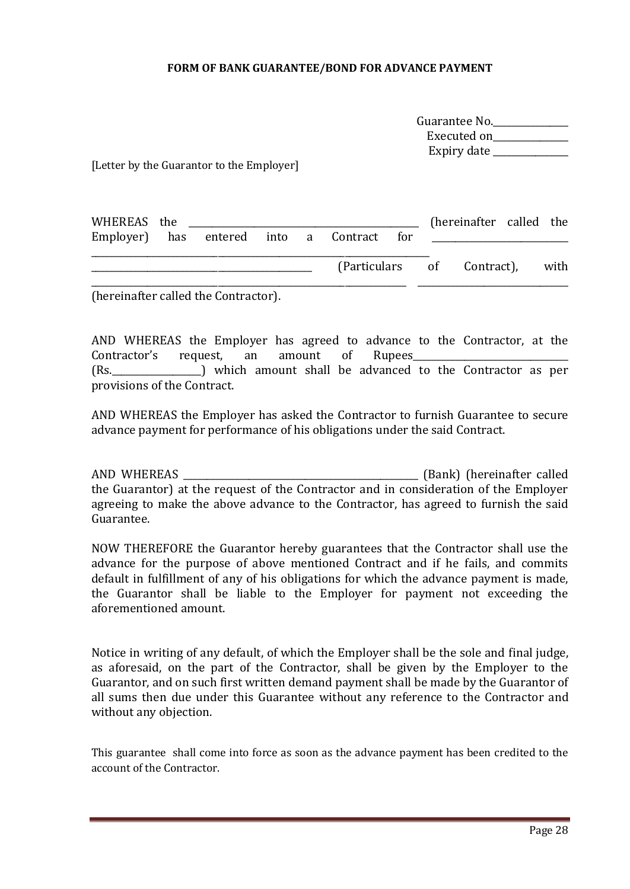#### **FORM OF BANK GUARANTEE/BOND FOR ADVANCE PAYMENT**

| Guarantee No. |  |
|---------------|--|
| Executed on   |  |
| Expiry date   |  |

[Letter by the Guarantor to the Employer]

| WHEREAS the                               |  |  |                                 |  | (hereinafter called the |  |
|-------------------------------------------|--|--|---------------------------------|--|-------------------------|--|
| Employer) has entered into a Contract for |  |  |                                 |  |                         |  |
|                                           |  |  | (Particulars of Contract), with |  |                         |  |

(hereinafter called the Contractor).

AND WHEREAS the Employer has agreed to advance to the Contractor, at the Contractor's request, an amount of Rupees (Rs.  $\qquad$ ) which amount shall be advanced to the Contractor as per provisions of the Contract.

AND WHEREAS the Employer has asked the Contractor to furnish Guarantee to secure advance payment for performance of his obligations under the said Contract.

AND WHEREAS \_\_\_\_\_\_\_\_\_\_\_\_\_\_\_\_\_\_\_\_\_\_\_\_\_\_\_\_\_\_\_\_\_\_\_\_\_\_\_\_\_\_\_\_\_\_\_\_\_\_ (Bank) (hereinafter called the Guarantor) at the request of the Contractor and in consideration of the Employer agreeing to make the above advance to the Contractor, has agreed to furnish the said Guarantee.

NOW THEREFORE the Guarantor hereby guarantees that the Contractor shall use the advance for the purpose of above mentioned Contract and if he fails, and commits default in fulfillment of any of his obligations for which the advance payment is made, the Guarantor shall be liable to the Employer for payment not exceeding the aforementioned amount.

Notice in writing of any default, of which the Employer shall be the sole and final judge, as aforesaid, on the part of the Contractor, shall be given by the Employer to the Guarantor, and on such first written demand payment shall be made by the Guarantor of all sums then due under this Guarantee without any reference to the Contractor and without any objection.

This guarantee shall come into force as soon as the advance payment has been credited to the account of the Contractor.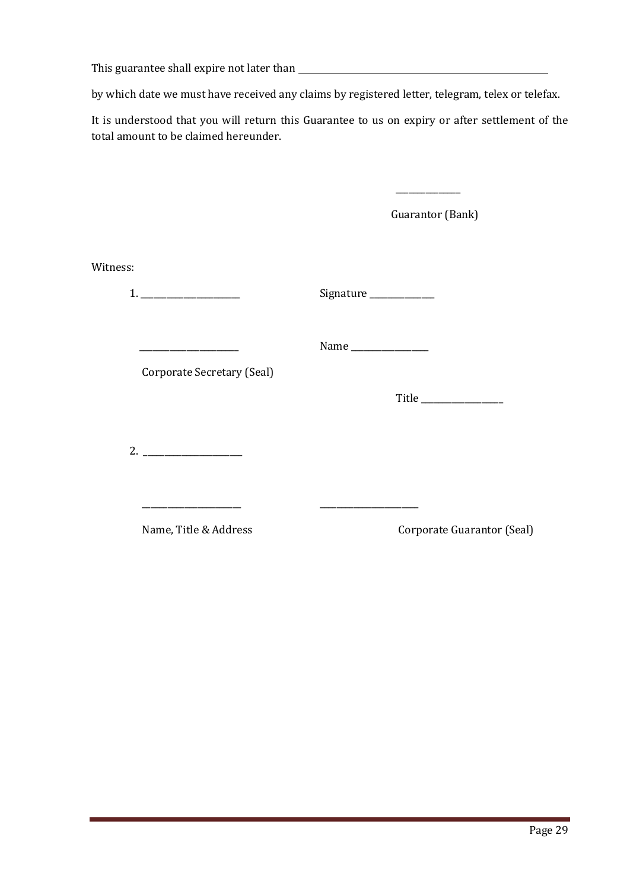This guarantee shall expire not later than

by which date we must have received any claims by registered letter, telegram, telex or telefax.

It is understood that you will return this Guarantee to us on expiry or after settlement of the total amount to be claimed hereunder.

\_\_\_\_\_\_\_\_\_\_\_\_\_\_\_

|          |                                                                                               | Guarantor (Bank)      |                            |  |
|----------|-----------------------------------------------------------------------------------------------|-----------------------|----------------------------|--|
| Witness: |                                                                                               |                       |                            |  |
|          |                                                                                               | Signature ___________ |                            |  |
|          | the control of the control of the control of the control of the<br>Corporate Secretary (Seal) | Name ______________   |                            |  |
|          |                                                                                               |                       |                            |  |
|          |                                                                                               |                       |                            |  |
|          | Name, Title & Address                                                                         |                       | Corporate Guarantor (Seal) |  |